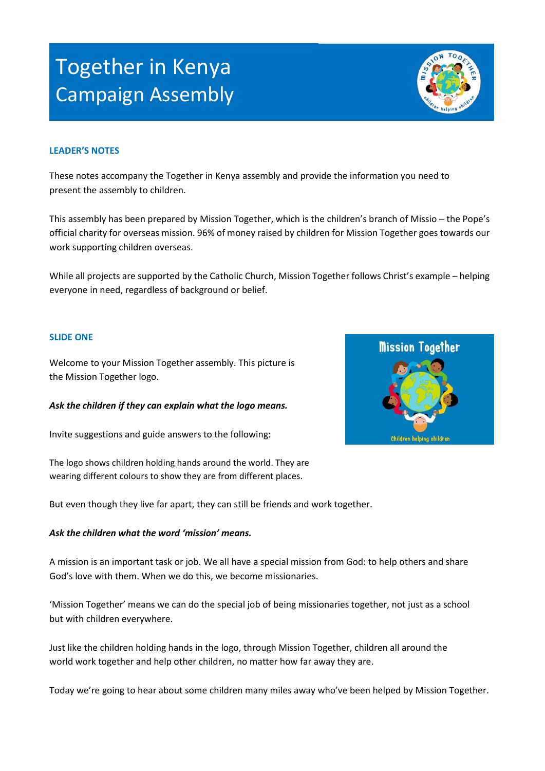# Together in Kenya Campaign Assembly

#### **LEADER'S NOTES**

These notes accompany the Together in Kenya assembly and provide the information you need to present the assembly to children.

This assembly has been prepared by Mission Together, which is the children's branch of Missio – the Pope's official charity for overseas mission. 96% of money raised by children for Mission Together goes towards our work supporting children overseas.

While all projects are supported by the Catholic Church, Mission Together follows Christ's example – helping everyone in need, regardless of background or belief.

#### **SLIDE ONE**

Welcome to your Mission Together assembly. This picture is the Mission Together logo.

*Ask the children if they can explain what the logo means.*

Invite suggestions and guide answers to the following:

The logo shows children holding hands around the world. They are wearing different colours to show they are from different places.

But even though they live far apart, they can still be friends and work together.

#### *Ask the children what the word 'mission' means.*

A mission is an important task or job. We all have a special mission from God: to help others and share God's love with them. When we do this, we become missionaries.

'Mission Together' means we can do the special job of being missionaries together, not just as a school but with children everywhere.

Just like the children holding hands in the logo, through Mission Together, children all around the world work together and help other children, no matter how far away they are.

Today we're going to hear about some children many miles away who've been helped by Mission Together.



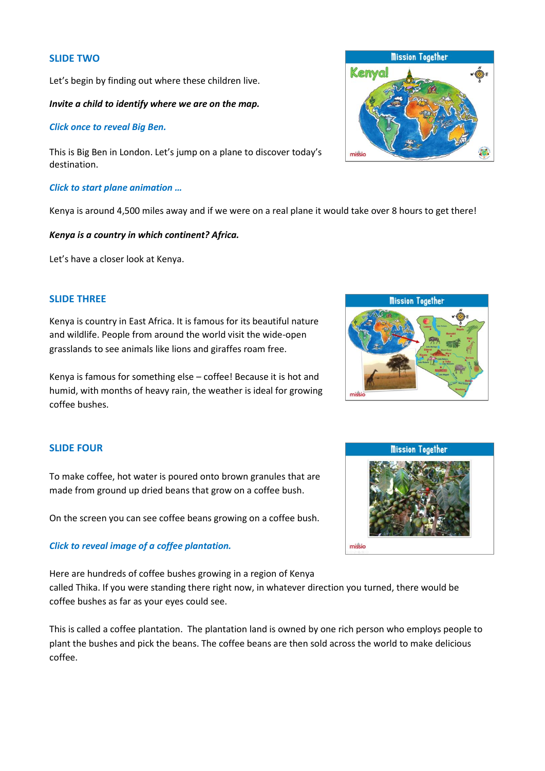#### **SLIDE TWO**

Let's begin by finding out where these children live.

#### *Invite a child to identify where we are on the map.*

#### *Click once to reveal Big Ben.*

This is Big Ben in London. Let's jump on a plane to discover today's destination.

#### *Click to start plane animation …*

Kenya is around 4,500 miles away and if we were on a real plane it would take over 8 hours to get there!

#### *Kenya is a country in which continent? Africa.*

Let's have a closer look at Kenya.

# **SLIDE THREE**

Kenya is country in East Africa. It is famous for its beautiful nature and wildlife. People from around the world visit the wide-open grasslands to see animals like lions and giraffes roam free.

Kenya is famous for something else – coffee! Because it is hot and humid, with months of heavy rain, the weather is ideal for growing coffee bushes.

#### **SLIDE FOUR**

To make coffee, hot water is poured onto brown granules that are made from ground up dried beans that grow on a coffee bush.

On the screen you can see coffee beans growing on a coffee bush.

# *Click to reveal image of a coffee plantation.*

Here are hundreds of coffee bushes growing in a region of Kenya called Thika. If you were standing there right now, in whatever direction you turned, there would be coffee bushes as far as your eyes could see.

This is called a coffee plantation. The plantation land is owned by one rich person who employs people to plant the bushes and pick the beans. The coffee beans are then sold across the world to make delicious coffee.





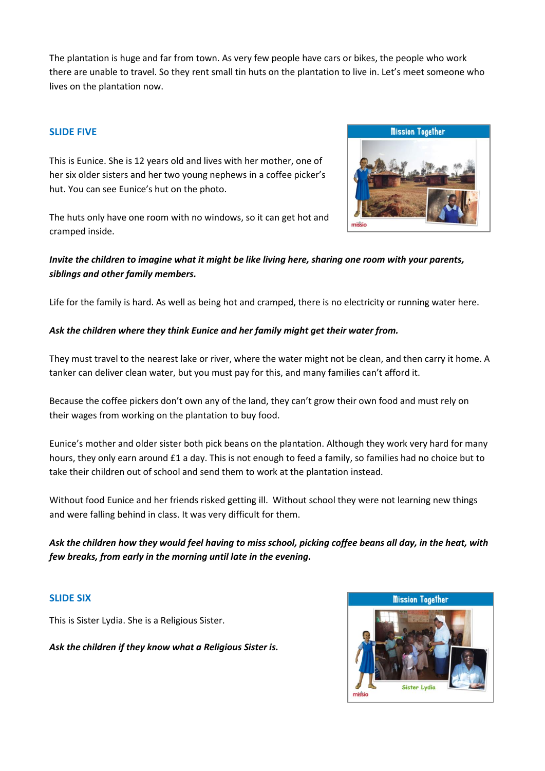The plantation is huge and far from town. As very few people have cars or bikes, the people who work there are unable to travel. So they rent small tin huts on the plantation to live in. Let's meet someone who lives on the plantation now.

# **SLIDE FIVE**

This is Eunice. She is 12 years old and lives with her mother, one of her six older sisters and her two young nephews in a coffee picker's hut. You can see Eunice's hut on the photo.

The huts only have one room with no windows, so it can get hot and cramped inside.



# *Invite the children to imagine what it might be like living here, sharing one room with your parents, siblings and other family members.*

Life for the family is hard. As well as being hot and cramped, there is no electricity or running water here.

# *Ask the children where they think Eunice and her family might get their water from.*

They must travel to the nearest lake or river, where the water might not be clean, and then carry it home. A tanker can deliver clean water, but you must pay for this, and many families can't afford it.

Because the coffee pickers don't own any of the land, they can't grow their own food and must rely on their wages from working on the plantation to buy food.

Eunice's mother and older sister both pick beans on the plantation. Although they work very hard for many hours, they only earn around £1 a day. This is not enough to feed a family, so families had no choice but to take their children out of school and send them to work at the plantation instead.

Without food Eunice and her friends risked getting ill. Without school they were not learning new things and were falling behind in class. It was very difficult for them.

*Ask the children how they would feel having to miss school, picking coffee beans all day, in the heat, with few breaks, from early in the morning until late in the evening.* 

#### **SLIDE SIX**

This is Sister Lydia. She is a Religious Sister.

*Ask the children if they know what a Religious Sister is.*

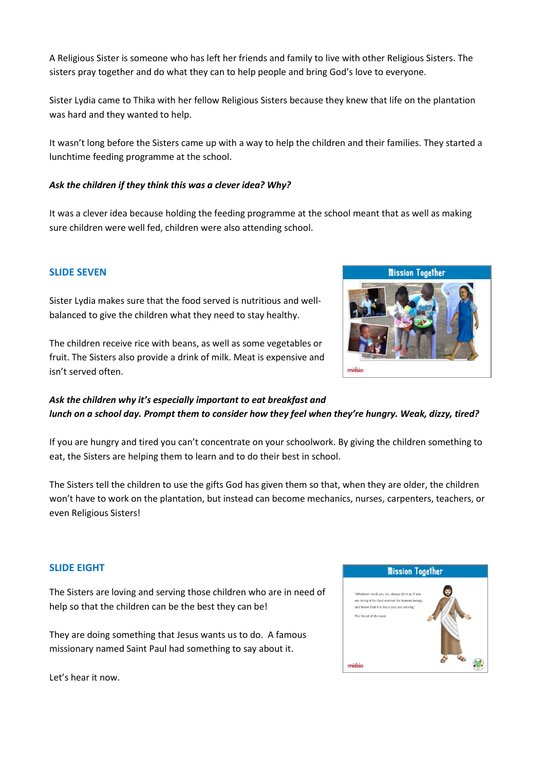A Religious Sister is someone who has left her friends and family to live with other Religious Sisters. The sisters pray together and do what they can to help people and bring God's love to everyone.

Sister Lydia came to Thika with her fellow Religious Sisters because they knew that life on the plantation was hard and they wanted to help.

It wasn't long before the Sisters came up with a way to help the children and their families. They started a lunchtime feeding programme at the school.

## *Ask the children if they think this was a clever idea? Why?*

It was a clever idea because holding the feeding programme at the school meant that as well as making sure children were well fed, children were also attending school.

# **SLIDE SEVEN**

Sister Lydia makes sure that the food served is nutritious and wellbalanced to give the children what they need to stay healthy.



# *Ask the children why it's especially important to eat breakfast and lunch on a school day. Prompt them to consider how they feel when they're hungry. Weak, dizzy, tired?*

If you are hungry and tired you can't concentrate on your schoolwork. By giving the children something to eat, the Sisters are helping them to learn and to do their best in school.

The Sisters tell the children to use the gifts God has given them so that, when they are older, the children won't have to work on the plantation, but instead can become mechanics, nurses, carpenters, teachers, or even Religious Sisters!

#### **SLIDE EIGHT**

The Sisters are loving and serving those children who are in need of help so that the children can be the best they can be!

They are doing something that Jesus wants us to do. A famous missionary named Saint Paul had something to say about it.

Let's hear it now.



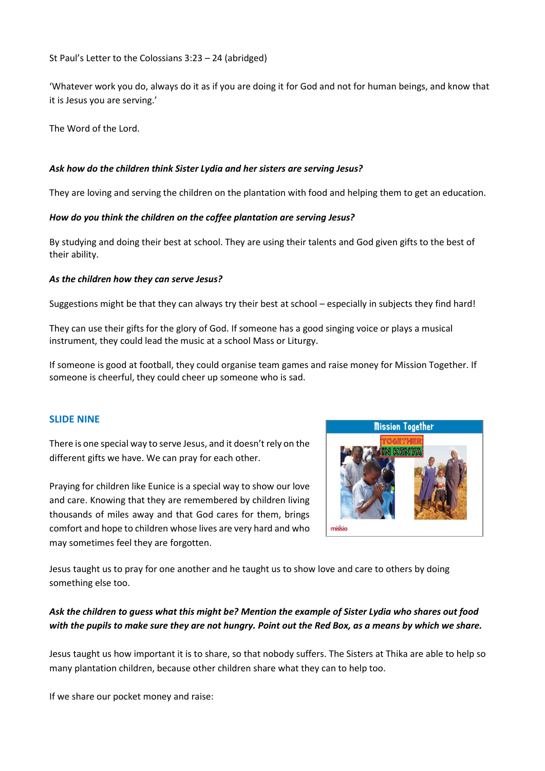# St Paul's Letter to the Colossians 3:23 – 24 (abridged)

'Whatever work you do, always do it as if you are doing it for God and not for human beings, and know that it is Jesus you are serving.'

The Word of the Lord.

# *Ask how do the children think Sister Lydia and her sisters are serving Jesus?*

They are loving and serving the children on the plantation with food and helping them to get an education.

# *How do you think the children on the coffee plantation are serving Jesus?*

By studying and doing their best at school. They are using their talents and God given gifts to the best of their ability.

# *As the children how they can serve Jesus?*

Suggestions might be that they can always try their best at school – especially in subjects they find hard!

They can use their gifts for the glory of God. If someone has a good singing voice or plays a musical instrument, they could lead the music at a school Mass or Liturgy.

If someone is good at football, they could organise team games and raise money for Mission Together. If someone is cheerful, they could cheer up someone who is sad.

# **SLIDE NINE**

There is one special way to serve Jesus, and it doesn't rely on the different gifts we have. We can pray for each other.

Praying for children like Eunice is a special way to show our love and care. Knowing that they are remembered by children living thousands of miles away and that God cares for them, brings comfort and hope to children whose lives are very hard and who may sometimes feel they are forgotten.



Jesus taught us to pray for one another and he taught us to show love and care to others by doing something else too.

# *Ask the children to guess what this might be? Mention the example of Sister Lydia who shares out food with the pupils to make sure they are not hungry. Point out the Red Box, as a means by which we share.*

Jesus taught us how important it is to share, so that nobody suffers. The Sisters at Thika are able to help so many plantation children, because other children share what they can to help too.

If we share our pocket money and raise: